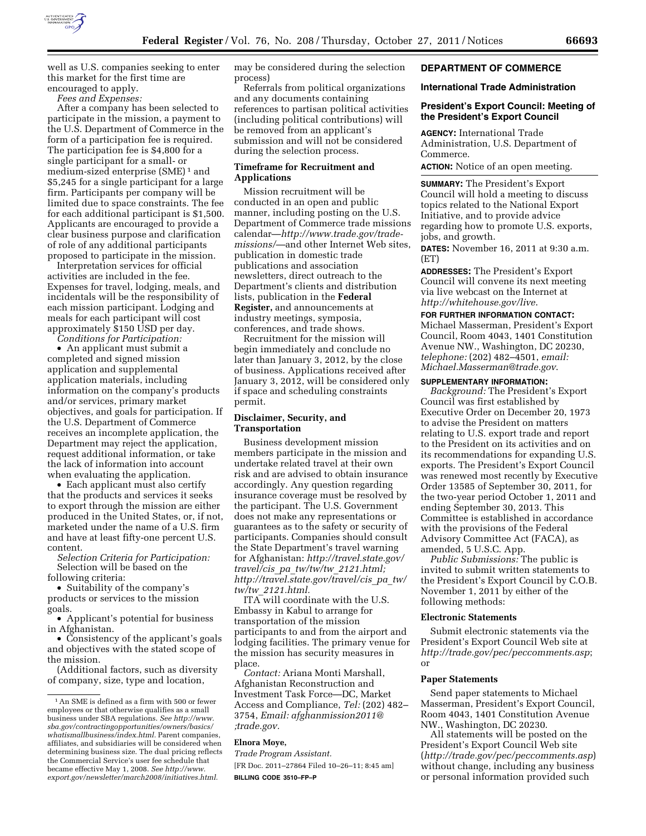

well as U.S. companies seeking to enter this market for the first time are encouraged to apply.

*Fees and Expenses:* 

After a company has been selected to participate in the mission, a payment to the U.S. Department of Commerce in the form of a participation fee is required. The participation fee is \$4,800 for a single participant for a small- or medium-sized enterprise (SME) 1 and \$5,245 for a single participant for a large firm. Participants per company will be limited due to space constraints. The fee for each additional participant is \$1,500. Applicants are encouraged to provide a clear business purpose and clarification of role of any additional participants proposed to participate in the mission.

Interpretation services for official activities are included in the fee. Expenses for travel, lodging, meals, and incidentals will be the responsibility of each mission participant. Lodging and meals for each participant will cost approximately \$150 USD per day.

*Conditions for Participation:* 

• An applicant must submit a completed and signed mission application and supplemental application materials, including information on the company's products and/or services, primary market objectives, and goals for participation. If the U.S. Department of Commerce receives an incomplete application, the Department may reject the application, request additional information, or take the lack of information into account when evaluating the application.

• Each applicant must also certify that the products and services it seeks to export through the mission are either produced in the United States, or, if not, marketed under the name of a U.S. firm and have at least fifty-one percent U.S. content.

*Selection Criteria for Participation:*  Selection will be based on the following criteria:

• Suitability of the company's products or services to the mission goals.

• Applicant's potential for business in Afghanistan.

• Consistency of the applicant's goals and objectives with the stated scope of the mission.

(Additional factors, such as diversity of company, size, type and location,

may be considered during the selection process)

Referrals from political organizations and any documents containing references to partisan political activities (including political contributions) will be removed from an applicant's submission and will not be considered during the selection process.

### **Timeframe for Recruitment and Applications**

Mission recruitment will be conducted in an open and public manner, including posting on the U.S. Department of Commerce trade missions calendar—*http://www.trade.gov/trademissions/*—and other Internet Web sites, publication in domestic trade publications and association newsletters, direct outreach to the Department's clients and distribution lists, publication in the **Federal Register,** and announcements at industry meetings, symposia, conferences, and trade shows.

Recruitment for the mission will begin immediately and conclude no later than January 3, 2012, by the close of business. Applications received after January 3, 2012, will be considered only if space and scheduling constraints permit.

### **Disclaimer, Security, and Transportation**

Business development mission members participate in the mission and undertake related travel at their own risk and are advised to obtain insurance accordingly. Any question regarding insurance coverage must be resolved by the participant. The U.S. Government does not make any representations or guarantees as to the safety or security of participants. Companies should consult the State Department's travel warning for Afghanistan: *[http://travel.state.gov/](http://travel.state.gov/travel/cis_pa_tw/tw/tw_2121.html) travel/cis*\_*pa*\_*tw/tw/tw*\_*[2121.html;](http://travel.state.gov/travel/cis_pa_tw/tw/tw_2121.html) [http://travel.state.gov/travel/cis](http://travel.state.gov/travel/cis_pa_tw/tw/tw_2121.html)*\_*pa*\_*tw/ tw/tw*\_*[2121.html.](http://travel.state.gov/travel/cis_pa_tw/tw/tw_2121.html)* 

ITA will coordinate with the U.S. Embassy in Kabul to arrange for transportation of the mission participants to and from the airport and lodging facilities. The primary venue for the mission has security measures in place.

*Contact:* Ariana Monti Marshall, Afghanistan Reconstruction and Investment Task Force—DC, Market Access and Compliance, *Tel:* (202) 482– 3754, *Email: [afghanmission2011@](mailto:afghanmission2011@;trade.gov) [;trade.gov.](mailto:afghanmission2011@;trade.gov)* 

### **Elnora Moye,**

*Trade Program Assistant.* 

[FR Doc. 2011–27864 Filed 10–26–11; 8:45 am] **BILLING CODE 3510–FP–P** 

#### **DEPARTMENT OF COMMERCE**

#### **International Trade Administration**

### **President's Export Council: Meeting of the President's Export Council**

**AGENCY:** International Trade Administration, U.S. Department of Commerce.

**ACTION:** Notice of an open meeting.

**SUMMARY:** The President's Export Council will hold a meeting to discuss topics related to the National Export Initiative, and to provide advice regarding how to promote U.S. exports, jobs, and growth.

**DATES:** November 16, 2011 at 9:30 a.m.  $(FT)$ 

**ADDRESSES:** The President's Export Council will convene its next meeting via live webcast on the Internet at *<http://whitehouse.gov/live>*.

**FOR FURTHER INFORMATION CONTACT:**  Michael Masserman, President's Export Council, Room 4043, 1401 Constitution Avenue NW., Washington, DC 20230, *telephone:* (202) 482–4501, *email: [Michael.Masserman@trade.gov](mailto:Michael.Masserman@trade.gov)*.

### **SUPPLEMENTARY INFORMATION:**

*Background:* The President's Export Council was first established by Executive Order on December 20, 1973 to advise the President on matters relating to U.S. export trade and report to the President on its activities and on its recommendations for expanding U.S. exports. The President's Export Council was renewed most recently by Executive Order 13585 of September 30, 2011, for the two-year period October 1, 2011 and ending September 30, 2013. This Committee is established in accordance with the provisions of the Federal Advisory Committee Act (FACA), as amended, 5 U.S.C. App.

*Public Submissions:* The public is invited to submit written statements to the President's Export Council by C.O.B. November 1, 2011 by either of the following methods:

#### **Electronic Statements**

Submit electronic statements via the President's Export Council Web site at *<http://trade.gov/pec/peccomments.asp>*; or

#### **Paper Statements**

Send paper statements to Michael Masserman, President's Export Council, Room 4043, 1401 Constitution Avenue NW., Washington, DC 20230.

All statements will be posted on the President's Export Council Web site (*<http://trade.gov/pec/peccomments.asp>*) without change, including any business or personal information provided such

<sup>1</sup>An SME is defined as a firm with 500 or fewer employees or that otherwise qualifies as a small business under SBA regulations. *See [http://www.](http://www.sba.gov/contractingopportunities/owners/basics/whatismallbusiness/index.html) [sba.gov/contractingopportunities/owners/basics/](http://www.sba.gov/contractingopportunities/owners/basics/whatismallbusiness/index.html) [whatismallbusiness/index.html.](http://www.sba.gov/contractingopportunities/owners/basics/whatismallbusiness/index.html)* Parent companies, affiliates, and subsidiaries will be considered when determining business size. The dual pricing reflects the Commercial Service's user fee schedule that became effective May 1, 2008. *See [http://www.](http://www.export.gov/newsletter/march2008/initiatives.html) [export.gov/newsletter/march2008/initiatives.html.](http://www.export.gov/newsletter/march2008/initiatives.html)*